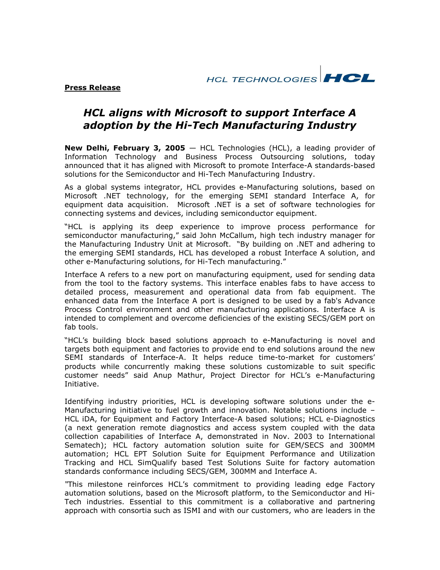HCL TECHNOLOGIES **HCL** 

**Press Release** 

# **HCL aligns with Microsoft to support Interface A** adoption by the Hi-Tech Manufacturing Industry

New Delhi, February 3, 2005  $-$  HCL Technologies (HCL), a leading provider of Information Technology and Business Process Outsourcing solutions, today announced that it has aligned with Microsoft to promote Interface-A standards-based solutions for the Semiconductor and Hi-Tech Manufacturing Industry.

As a global systems integrator, HCL provides e-Manufacturing solutions, based on Microsoft .NET technology, for the emerging SEMI standard Interface A, for equipment data acquisition. Microsoft .NET is a set of software technologies for connecting systems and devices, including semiconductor equipment.

"HCL is applying its deep experience to improve process performance for semiconductor manufacturing," said John McCallum, high tech industry manager for the Manufacturing Industry Unit at Microsoft. "By building on .NET and adhering to the emerging SEMI standards, HCL has developed a robust Interface A solution, and other e-Manufacturing solutions, for Hi-Tech manufacturing."

Interface A refers to a new port on manufacturing equipment, used for sending data from the tool to the factory systems. This interface enables fabs to have access to detailed process, measurement and operational data from fab equipment. The enhanced data from the Interface A port is designed to be used by a fab's Advance Process Control environment and other manufacturing applications. Interface A is intended to complement and overcome deficiencies of the existing SECS/GEM port on fab tools.

"HCL's building block based solutions approach to e-Manufacturing is novel and targets both equipment and factories to provide end to end solutions around the new SEMI standards of Interface-A. It helps reduce time-to-market for customers' products while concurrently making these solutions customizable to suit specific customer needs" said Anup Mathur, Project Director for HCL's e-Manufacturing Initiative.

Identifying industry priorities, HCL is developing software solutions under the e-Manufacturing initiative to fuel growth and innovation. Notable solutions include -HCL iDA, for Equipment and Factory Interface-A based solutions; HCL e-Diagnostics (a next generation remote diagnostics and access system coupled with the data collection capabilities of Interface A, demonstrated in Nov. 2003 to International Sematech); HCL factory automation solution suite for GEM/SECS and 300MM automation; HCL EPT Solution Suite for Equipment Performance and Utilization Tracking and HCL SimQualify based Test Solutions Suite for factory automation standards conformance including SECS/GEM, 300MM and Interface A.

"This milestone reinforces HCL's commitment to providing leading edge Factory automation solutions, based on the Microsoft platform, to the Semiconductor and Hi-Tech industries. Essential to this commitment is a collaborative and partnering approach with consortia such as ISMI and with our customers, who are leaders in the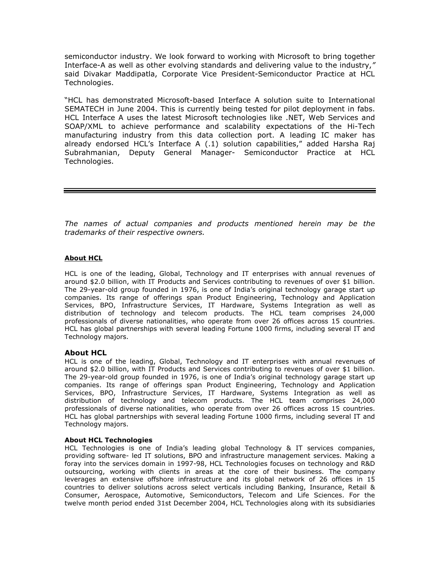semiconductor industry. We look forward to working with Microsoft to bring together Interface-A as well as other evolving standards and delivering value to the industry," said Divakar Maddipatla, Corporate Vice President-Semiconductor Practice at HCL Technologies.

"HCL has demonstrated Microsoft-based Interface A solution suite to International SEMATECH in June 2004. This is currently being tested for pilot deployment in fabs. HCL Interface A uses the latest Microsoft technologies like .NET, Web Services and SOAP/XML to achieve performance and scalability expectations of the Hi-Tech manufacturing industry from this data collection port. A leading IC maker has already endorsed HCL's Interface A (.1) solution capabilities," added Harsha Raj Subrahmanian, Deputy General Manager- Semiconductor Practice at HCL Technologies.

The names of actual companies and products mentioned herein may be the trademarks of their respective owners.

### **About HCL**

HCL is one of the leading, Global, Technology and IT enterprises with annual revenues of around \$2.0 billion, with IT Products and Services contributing to revenues of over \$1 billion. The 29-year-old group founded in 1976, is one of India's original technology garage start up companies. Its range of offerings span Product Engineering, Technology and Application Services, BPO, Infrastructure Services, IT Hardware, Systems Integration as well as distribution of technology and telecom products. The HCL team comprises 24,000 professionals of diverse nationalities, who operate from over 26 offices across 15 countries. HCL has global partnerships with several leading Fortune 1000 firms, including several IT and Technology majors.

#### **About HCL**

HCL is one of the leading, Global, Technology and IT enterprises with annual revenues of around \$2.0 billion, with IT Products and Services contributing to revenues of over \$1 billion. The 29-year-old group founded in 1976, is one of India's original technology garage start up companies. Its range of offerings span Product Engineering, Technology and Application Services, BPO, Infrastructure Services, IT Hardware, Systems Integration as well as distribution of technology and telecom products. The HCL team comprises 24,000 professionals of diverse nationalities, who operate from over 26 offices across 15 countries. HCL has global partnerships with several leading Fortune 1000 firms, including several IT and Technology majors.

#### **About HCL Technologies**

HCL Technologies is one of India's leading global Technology & IT services companies, providing software- led IT solutions, BPO and infrastructure management services. Making a foray into the services domain in 1997-98, HCL Technologies focuses on technology and R&D outsourcing, working with clients in areas at the core of their business. The company leverages an extensive offshore infrastructure and its global network of 26 offices in 15 countries to deliver solutions across select verticals including Banking, Insurance, Retail & Consumer, Aerospace, Automotive, Semiconductors, Telecom and Life Sciences. For the twelve month period ended 31st December 2004, HCL Technologies along with its subsidiaries